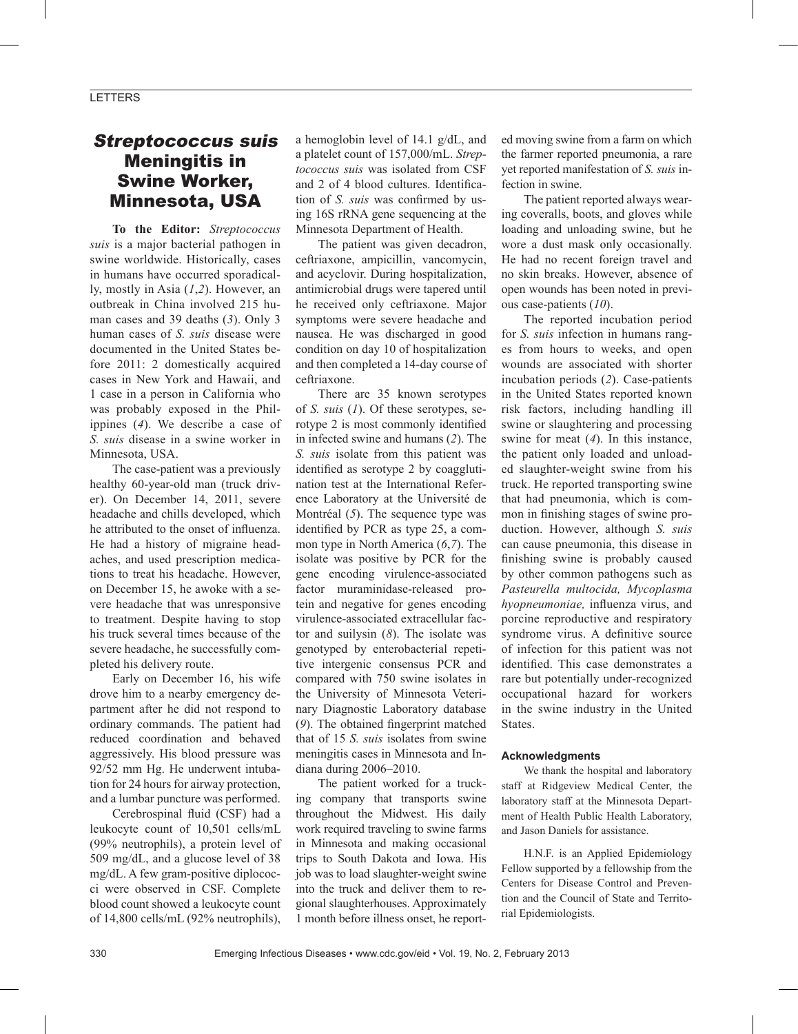### LETTERS

## Streptococcus suis Meningitis in Swine Worker, Minnesota, USA

**To the Editor:** *Streptococcus suis* is a major bacterial pathogen in swine worldwide. Historically, cases in humans have occurred sporadically, mostly in Asia (*1*,*2*). However, an outbreak in China involved 215 human cases and 39 deaths (*3*). Only 3 human cases of *S. suis* disease were documented in the United States before 2011: 2 domestically acquired cases in New York and Hawaii, and 1 case in a person in California who was probably exposed in the Philippines (*4*). We describe a case of *S. suis* disease in a swine worker in Minnesota, USA.

The case-patient was a previously healthy 60-year-old man (truck driver). On December 14, 2011, severe headache and chills developed, which he attributed to the onset of influenza. He had a history of migraine headaches, and used prescription medications to treat his headache. However, on December 15, he awoke with a severe headache that was unresponsive to treatment. Despite having to stop his truck several times because of the severe headache, he successfully completed his delivery route.

Early on December 16, his wife drove him to a nearby emergency department after he did not respond to ordinary commands. The patient had reduced coordination and behaved aggressively. His blood pressure was 92/52 mm Hg. He underwent intubation for 24 hours for airway protection, and a lumbar puncture was performed.

Cerebrospinal fluid (CSF) had a leukocyte count of 10,501 cells/mL (99% neutrophils), a protein level of 509 mg/dL, and a glucose level of 38 mg/dL. A few gram-positive diplococci were observed in CSF. Complete blood count showed a leukocyte count of 14,800 cells/mL (92% neutrophils),

a hemoglobin level of 14.1 g/dL, and a platelet count of 157,000/mL. *Streptococcus suis* was isolated from CSF and 2 of 4 blood cultures. Identification of *S. suis* was confirmed by using 16S rRNA gene sequencing at the Minnesota Department of Health.

The patient was given decadron, ceftriaxone, ampicillin, vancomycin, and acyclovir. During hospitalization, antimicrobial drugs were tapered until he received only ceftriaxone. Major symptoms were severe headache and nausea. He was discharged in good condition on day 10 of hospitalization and then completed a 14-day course of ceftriaxone.

There are 35 known serotypes of *S. suis* (*1*). Of these serotypes, serotype 2 is most commonly identified in infected swine and humans (*2*). The *S. suis* isolate from this patient was identified as serotype 2 by coagglutination test at the International Reference Laboratory at the Université de Montréal (*5*). The sequence type was identified by PCR as type 25, a common type in North America (*6*,*7*). The isolate was positive by PCR for the gene encoding virulence-associated factor muraminidase-released protein and negative for genes encoding virulence-associated extracellular factor and suilysin (*8*). The isolate was genotyped by enterobacterial repetitive intergenic consensus PCR and compared with 750 swine isolates in the University of Minnesota Veterinary Diagnostic Laboratory database (*9*). The obtained fingerprint matched that of 15 *S. suis* isolates from swine meningitis cases in Minnesota and Indiana during 2006–2010.

The patient worked for a trucking company that transports swine throughout the Midwest. His daily work required traveling to swine farms in Minnesota and making occasional trips to South Dakota and Iowa. His job was to load slaughter-weight swine into the truck and deliver them to regional slaughterhouses. Approximately 1 month before illness onset, he report-

ed moving swine from a farm on which the farmer reported pneumonia, a rare yet reported manifestation of *S. suis* infection in swine.

The patient reported always wearing coveralls, boots, and gloves while loading and unloading swine, but he wore a dust mask only occasionally. He had no recent foreign travel and no skin breaks. However, absence of open wounds has been noted in previous case-patients (*10*).

The reported incubation period for *S. suis* infection in humans ranges from hours to weeks, and open wounds are associated with shorter incubation periods (*2*). Case-patients in the United States reported known risk factors, including handling ill swine or slaughtering and processing swine for meat (*4*). In this instance, the patient only loaded and unloaded slaughter-weight swine from his truck. He reported transporting swine that had pneumonia, which is common in finishing stages of swine production. However, although *S. suis* can cause pneumonia, this disease in finishing swine is probably caused by other common pathogens such as *Pasteurella multocida, Mycoplasma hyopneumoniae,* influenza virus, and porcine reproductive and respiratory syndrome virus. A definitive source of infection for this patient was not identified. This case demonstrates a rare but potentially under-recognized occupational hazard for workers in the swine industry in the United States.

#### **Acknowledgments**

We thank the hospital and laboratory staff at Ridgeview Medical Center, the laboratory staff at the Minnesota Department of Health Public Health Laboratory, and Jason Daniels for assistance.

H.N.F. is an Applied Epidemiology Fellow supported by a fellowship from the Centers for Disease Control and Prevention and the Council of State and Territorial Epidemiologists.